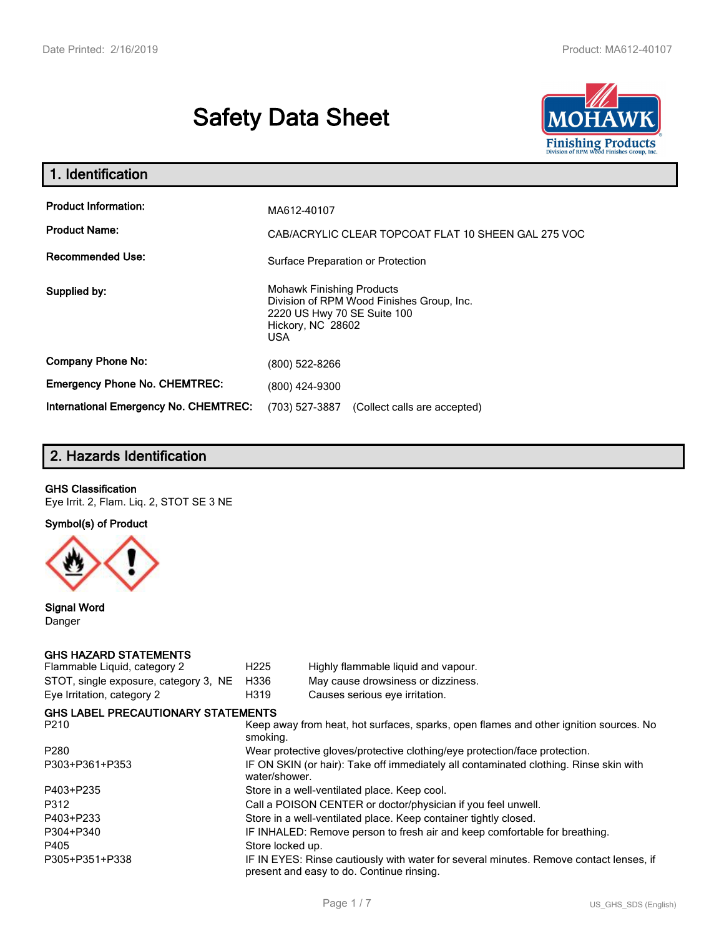# **Safety Data Sheet**



| 1. Identification                                                              |                                                                                                                                          |
|--------------------------------------------------------------------------------|------------------------------------------------------------------------------------------------------------------------------------------|
| <b>Product Information:</b><br><b>Product Name:</b><br><b>Recommended Use:</b> | MA612-40107<br>CAB/ACRYLIC CLEAR TOPCOAT FLAT 10 SHEEN GAL 275 VOC                                                                       |
|                                                                                | Surface Preparation or Protection                                                                                                        |
| Supplied by:                                                                   | <b>Mohawk Finishing Products</b><br>Division of RPM Wood Finishes Group, Inc.<br>2220 US Hwy 70 SE Suite 100<br>Hickory, NC 28602<br>USA |
| <b>Company Phone No:</b>                                                       | (800) 522-8266                                                                                                                           |
| <b>Emergency Phone No. CHEMTREC:</b>                                           | (800) 424-9300                                                                                                                           |
| <b>International Emergency No. CHEMTREC:</b>                                   | (703) 527-3887<br>(Collect calls are accepted)                                                                                           |

# **2. Hazards Identification**

### **GHS Classification**

Eye Irrit. 2, Flam. Liq. 2, STOT SE 3 NE

**Symbol(s) of Product**



**Signal Word** Danger

# **GHS HAZARD STATEMENTS**

| Flammable Liquid, category 2              | H <sub>225</sub> | Highly flammable liquid and vapour.                                                                                                 |
|-------------------------------------------|------------------|-------------------------------------------------------------------------------------------------------------------------------------|
| STOT, single exposure, category 3, NE     | H336             | May cause drowsiness or dizziness.                                                                                                  |
| Eye Irritation, category 2                | H319             | Causes serious eye irritation.                                                                                                      |
| <b>GHS LABEL PRECAUTIONARY STATEMENTS</b> |                  |                                                                                                                                     |
| P210                                      | smoking.         | Keep away from heat, hot surfaces, sparks, open flames and other ignition sources. No                                               |
| P280                                      |                  | Wear protective gloves/protective clothing/eye protection/face protection.                                                          |
| P303+P361+P353                            | water/shower.    | IF ON SKIN (or hair): Take off immediately all contaminated clothing. Rinse skin with                                               |
| P403+P235                                 |                  | Store in a well-ventilated place. Keep cool.                                                                                        |
| P312                                      |                  | Call a POISON CENTER or doctor/physician if you feel unwell.                                                                        |
| P403+P233                                 |                  | Store in a well-ventilated place. Keep container tightly closed.                                                                    |
| P304+P340                                 |                  | IF INHALED: Remove person to fresh air and keep comfortable for breathing.                                                          |
| P405                                      | Store locked up. |                                                                                                                                     |
| P305+P351+P338                            |                  | IF IN EYES: Rinse cautiously with water for several minutes. Remove contact lenses, if<br>present and easy to do. Continue rinsing. |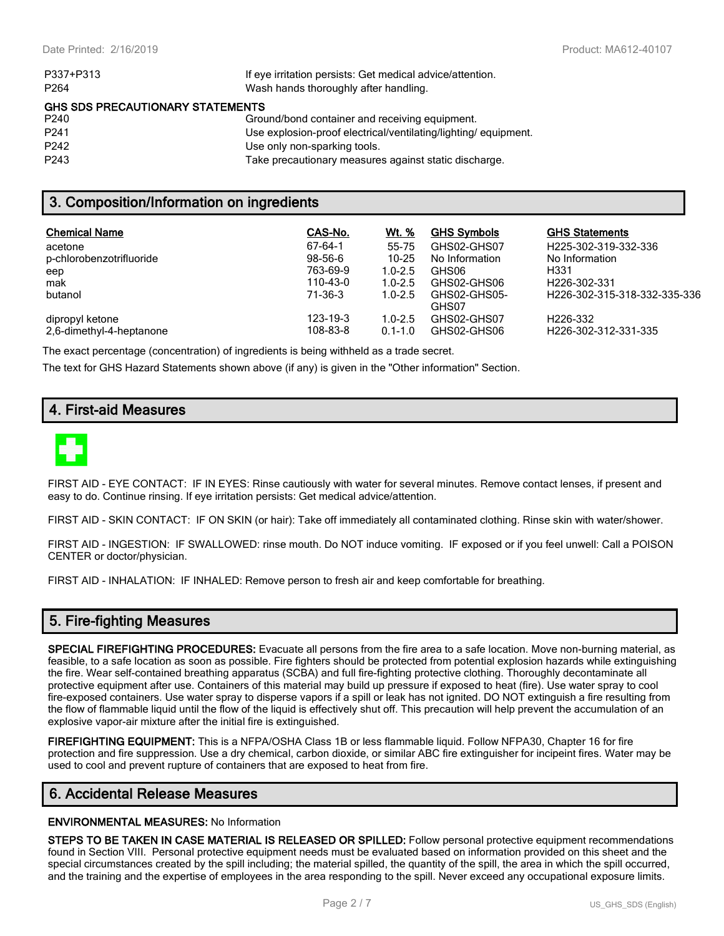| P337+P313                               | If eye irritation persists: Get medical advice/attention.      |  |  |  |
|-----------------------------------------|----------------------------------------------------------------|--|--|--|
| P <sub>264</sub>                        | Wash hands thoroughly after handling.                          |  |  |  |
| <b>GHS SDS PRECAUTIONARY STATEMENTS</b> |                                                                |  |  |  |
| P240                                    | Ground/bond container and receiving equipment.                 |  |  |  |
| P <sub>241</sub>                        | Use explosion-proof electrical/ventilating/lighting/equipment. |  |  |  |
| P <sub>242</sub>                        | Use only non-sparking tools.                                   |  |  |  |
| P <sub>243</sub>                        | Take precautionary measures against static discharge.          |  |  |  |

### **3. Composition/Information on ingredients**

| <b>Chemical Name</b>     | CAS-No.   | Wt. %       | <b>GHS Symbols</b> | <b>GHS Statements</b>        |
|--------------------------|-----------|-------------|--------------------|------------------------------|
| acetone                  | 67-64-1   | 55-75       | GHS02-GHS07        | H225-302-319-332-336         |
| p-chlorobenzotrifluoride | $98-56-6$ | $10 - 25$   | No Information     | No Information               |
| eep                      | 763-69-9  | $1.0 - 2.5$ | GHS06              | H331                         |
| mak                      | 110-43-0  | $1.0 - 2.5$ | GHS02-GHS06        | H <sub>226</sub> -302-331    |
| butanol                  | 71-36-3   | $1.0 - 2.5$ | GHS02-GHS05-       | H226-302-315-318-332-335-336 |
|                          |           |             | GHS07              |                              |
| dipropyl ketone          | 123-19-3  | $1.0 - 2.5$ | GHS02-GHS07        | H <sub>226</sub> -332        |
| 2.6-dimethyl-4-heptanone | 108-83-8  | $0.1 - 1.0$ | GHS02-GHS06        | H226-302-312-331-335         |

The exact percentage (concentration) of ingredients is being withheld as a trade secret.

The text for GHS Hazard Statements shown above (if any) is given in the "Other information" Section.

# **4. First-aid Measures**



FIRST AID - EYE CONTACT: IF IN EYES: Rinse cautiously with water for several minutes. Remove contact lenses, if present and easy to do. Continue rinsing. If eye irritation persists: Get medical advice/attention.

FIRST AID - SKIN CONTACT: IF ON SKIN (or hair): Take off immediately all contaminated clothing. Rinse skin with water/shower.

FIRST AID - INGESTION: IF SWALLOWED: rinse mouth. Do NOT induce vomiting. IF exposed or if you feel unwell: Call a POISON CENTER or doctor/physician.

FIRST AID - INHALATION: IF INHALED: Remove person to fresh air and keep comfortable for breathing.

### **5. Fire-fighting Measures**

**SPECIAL FIREFIGHTING PROCEDURES:** Evacuate all persons from the fire area to a safe location. Move non-burning material, as feasible, to a safe location as soon as possible. Fire fighters should be protected from potential explosion hazards while extinguishing the fire. Wear self-contained breathing apparatus (SCBA) and full fire-fighting protective clothing. Thoroughly decontaminate all protective equipment after use. Containers of this material may build up pressure if exposed to heat (fire). Use water spray to cool fire-exposed containers. Use water spray to disperse vapors if a spill or leak has not ignited. DO NOT extinguish a fire resulting from the flow of flammable liquid until the flow of the liquid is effectively shut off. This precaution will help prevent the accumulation of an explosive vapor-air mixture after the initial fire is extinguished.

**FIREFIGHTING EQUIPMENT:** This is a NFPA/OSHA Class 1B or less flammable liquid. Follow NFPA30, Chapter 16 for fire protection and fire suppression. Use a dry chemical, carbon dioxide, or similar ABC fire extinguisher for incipeint fires. Water may be used to cool and prevent rupture of containers that are exposed to heat from fire.

# **6. Accidental Release Measures**

#### **ENVIRONMENTAL MEASURES:** No Information

**STEPS TO BE TAKEN IN CASE MATERIAL IS RELEASED OR SPILLED:** Follow personal protective equipment recommendations found in Section VIII. Personal protective equipment needs must be evaluated based on information provided on this sheet and the special circumstances created by the spill including; the material spilled, the quantity of the spill, the area in which the spill occurred, and the training and the expertise of employees in the area responding to the spill. Never exceed any occupational exposure limits.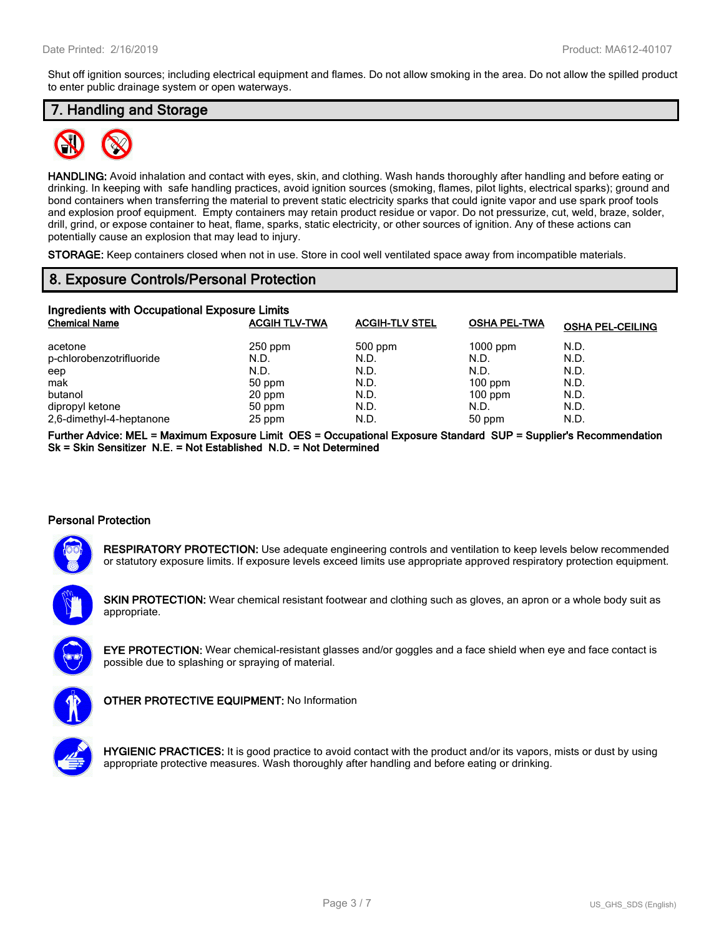Shut off ignition sources; including electrical equipment and flames. Do not allow smoking in the area. Do not allow the spilled product to enter public drainage system or open waterways.

# **7. Handling and Storage**



**HANDLING:** Avoid inhalation and contact with eyes, skin, and clothing. Wash hands thoroughly after handling and before eating or drinking. In keeping with safe handling practices, avoid ignition sources (smoking, flames, pilot lights, electrical sparks); ground and bond containers when transferring the material to prevent static electricity sparks that could ignite vapor and use spark proof tools and explosion proof equipment. Empty containers may retain product residue or vapor. Do not pressurize, cut, weld, braze, solder, drill, grind, or expose container to heat, flame, sparks, static electricity, or other sources of ignition. Any of these actions can potentially cause an explosion that may lead to injury.

**STORAGE:** Keep containers closed when not in use. Store in cool well ventilated space away from incompatible materials.

### **8. Exposure Controls/Personal Protection**

| Ingredients with Occupational Exposure Limits |                      |                       |                     |                         |  |  |  |
|-----------------------------------------------|----------------------|-----------------------|---------------------|-------------------------|--|--|--|
| <b>Chemical Name</b>                          | <b>ACGIH TLV-TWA</b> | <b>ACGIH-TLV STEL</b> | <b>OSHA PEL-TWA</b> | <b>OSHA PEL-CEILING</b> |  |  |  |
| acetone                                       | $250$ ppm            | $500$ ppm             | $1000$ ppm          | N.D.                    |  |  |  |
| p-chlorobenzotrifluoride                      | N.D.                 | N.D.                  | N.D.                | N.D.                    |  |  |  |
| eep                                           | N.D.                 | N.D.                  | N.D.                | N.D.                    |  |  |  |
| mak                                           | 50 ppm               | N.D.                  | $100$ ppm           | N.D.                    |  |  |  |
| butanol                                       | 20 ppm               | N.D.                  | $100$ ppm           | N.D.                    |  |  |  |
| dipropyl ketone                               | 50 ppm               | N.D.                  | N.D.                | N.D.                    |  |  |  |
| 2,6-dimethyl-4-heptanone                      | 25 ppm               | N.D.                  | 50 ppm              | N.D.                    |  |  |  |

**Further Advice: MEL = Maximum Exposure Limit OES = Occupational Exposure Standard SUP = Supplier's Recommendation Sk = Skin Sensitizer N.E. = Not Established N.D. = Not Determined**

### **Personal Protection**



**RESPIRATORY PROTECTION:** Use adequate engineering controls and ventilation to keep levels below recommended or statutory exposure limits. If exposure levels exceed limits use appropriate approved respiratory protection equipment.

**SKIN PROTECTION:** Wear chemical resistant footwear and clothing such as gloves, an apron or a whole body suit as appropriate.





**OTHER PROTECTIVE EQUIPMENT:** No Information

**HYGIENIC PRACTICES:** It is good practice to avoid contact with the product and/or its vapors, mists or dust by using appropriate protective measures. Wash thoroughly after handling and before eating or drinking.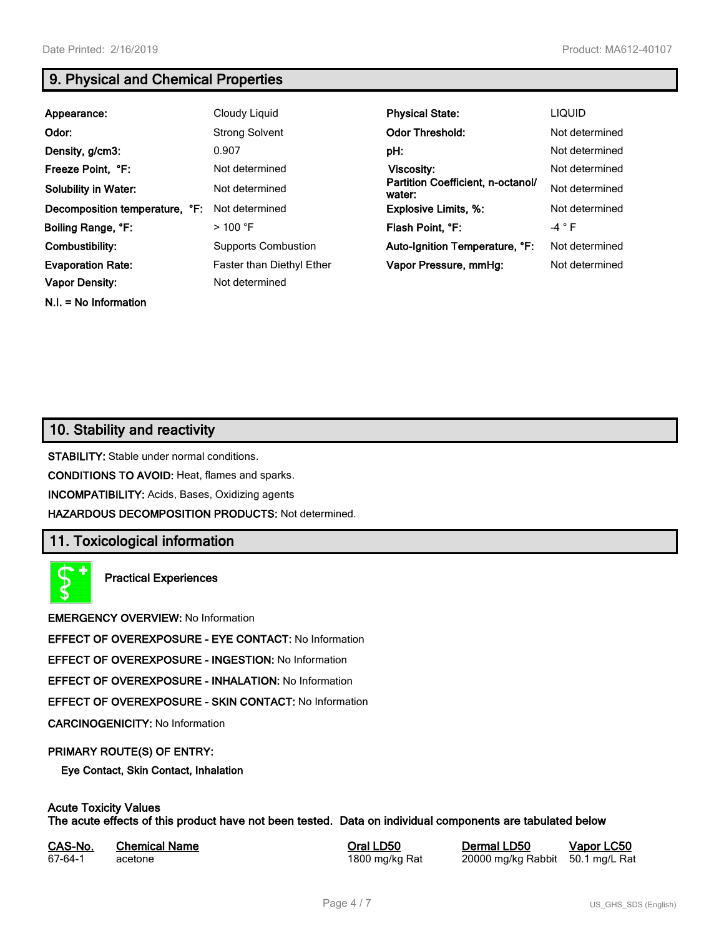**N.I. = No Information**

# **9. Physical and Chemical Properties**

| Appearance:                    | Cloudy Liquid              | <b>Physical State:</b>                      | <b>LIQUID</b>  |
|--------------------------------|----------------------------|---------------------------------------------|----------------|
| Odor:                          | <b>Strong Solvent</b>      | <b>Odor Threshold:</b>                      | Not determined |
| Density, g/cm3:                | 0.907                      | pH:                                         | Not determined |
| Freeze Point, °F:              | Not determined             | Viscosity:                                  | Not determined |
| <b>Solubility in Water:</b>    | Not determined             | Partition Coefficient, n-octanol/<br>water: | Not determined |
| Decomposition temperature, °F: | Not determined             | <b>Explosive Limits, %:</b>                 | Not determined |
| Boiling Range, °F:             | $>100$ °F                  | Flash Point, °F:                            | $-4$ $\circ$ F |
| Combustibility:                | <b>Supports Combustion</b> | Auto-Ignition Temperature, °F:              | Not determined |
| <b>Evaporation Rate:</b>       | Faster than Diethyl Ether  | Vapor Pressure, mmHg:                       | Not determined |
| <b>Vapor Density:</b>          | Not determined             |                                             |                |

# **10. Stability and reactivity**

**STABILITY:** Stable under normal conditions.

**CONDITIONS TO AVOID:** Heat, flames and sparks.

**INCOMPATIBILITY:** Acids, Bases, Oxidizing agents

**HAZARDOUS DECOMPOSITION PRODUCTS:** Not determined.

# **11. Toxicological information**

**Practical Experiences**

**EMERGENCY OVERVIEW:** No Information

**EFFECT OF OVEREXPOSURE - EYE CONTACT:** No Information

**EFFECT OF OVEREXPOSURE - INGESTION:** No Information

**EFFECT OF OVEREXPOSURE - INHALATION:** No Information

**EFFECT OF OVEREXPOSURE - SKIN CONTACT:** No Information

**CARCINOGENICITY:** No Information

### **PRIMARY ROUTE(S) OF ENTRY:**

**Eye Contact, Skin Contact, Inhalation**

# **Acute Toxicity Values**

**The acute effects of this product have not been tested. Data on individual components are tabulated below**

| CAS-No. | <b>Chemical Name</b> |
|---------|----------------------|
| 67-64-1 | acetone              |

**Casary Chemical Chemical LD50 Chemical LD50 Vapor LC50** 1800 mg/kg Rat 20000 mg/kg Rabbit 50.1 mg/L Rat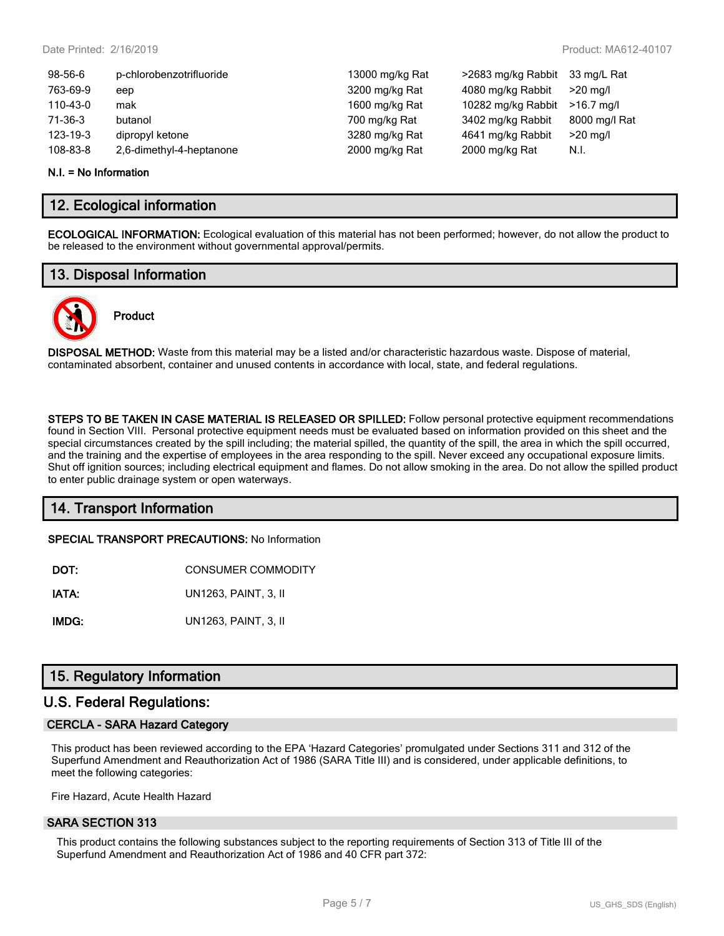| 98-56-6  | p-chlorobenzotrifluoride | 13000 mg/kg Rat | >2683 mg/kg Rabbit | 33 mg/L Rat   |
|----------|--------------------------|-----------------|--------------------|---------------|
| 763-69-9 | eep                      | 3200 mg/kg Rat  | 4080 mg/kg Rabbit  | $>20$ mg/l    |
| 110-43-0 | mak                      | 1600 mg/kg Rat  | 10282 mg/kg Rabbit | $>16.7$ ma/l  |
| 71-36-3  | butanol                  | 700 mg/kg Rat   | 3402 mg/kg Rabbit  | 8000 mg/l Rat |
| 123-19-3 | dipropyl ketone          | 3280 mg/kg Rat  | 4641 mg/kg Rabbit  | $>20$ mg/l    |
| 108-83-8 | 2,6-dimethyl-4-heptanone | 2000 mg/kg Rat  | 2000 mg/kg Rat     | N.I.          |
|          |                          |                 |                    |               |

#### **N.I. = No Information**

### **12. Ecological information**

**ECOLOGICAL INFORMATION:** Ecological evaluation of this material has not been performed; however, do not allow the product to be released to the environment without governmental approval/permits.

### **13. Disposal Information**



# **Product**

**DISPOSAL METHOD:** Waste from this material may be a listed and/or characteristic hazardous waste. Dispose of material, contaminated absorbent, container and unused contents in accordance with local, state, and federal regulations.

**STEPS TO BE TAKEN IN CASE MATERIAL IS RELEASED OR SPILLED:** Follow personal protective equipment recommendations found in Section VIII. Personal protective equipment needs must be evaluated based on information provided on this sheet and the special circumstances created by the spill including; the material spilled, the quantity of the spill, the area in which the spill occurred, and the training and the expertise of employees in the area responding to the spill. Never exceed any occupational exposure limits. Shut off ignition sources; including electrical equipment and flames. Do not allow smoking in the area. Do not allow the spilled product to enter public drainage system or open waterways.

# **14. Transport Information**

**SPECIAL TRANSPORT PRECAUTIONS:** No Information

| DOT: | <b>CONSUMER COMMODITY</b> |
|------|---------------------------|
|      |                           |

**IATA:** UN1263, PAINT, 3, II

**IMDG:** UN1263, PAINT, 3, II

# **15. Regulatory Information**

### **U.S. Federal Regulations:**

### **CERCLA - SARA Hazard Category**

This product has been reviewed according to the EPA 'Hazard Categories' promulgated under Sections 311 and 312 of the Superfund Amendment and Reauthorization Act of 1986 (SARA Title III) and is considered, under applicable definitions, to meet the following categories:

Fire Hazard, Acute Health Hazard

### **SARA SECTION 313**

This product contains the following substances subject to the reporting requirements of Section 313 of Title III of the Superfund Amendment and Reauthorization Act of 1986 and 40 CFR part 372: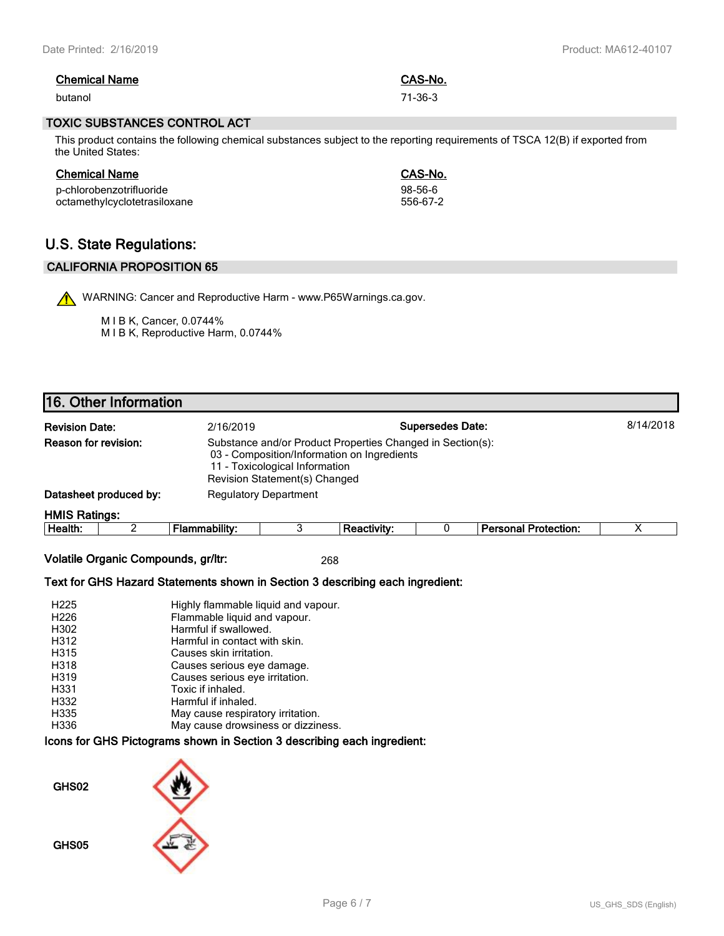| <b>Chemical Name</b> | CAS-No. |
|----------------------|---------|
| butanol              | 71-36-3 |

#### **TOXIC SUBSTANCES CONTROL ACT**

This product contains the following chemical substances subject to the reporting requirements of TSCA 12(B) if exported from the United States:

| <b>Chemical Name</b>         | CAS-No.   |
|------------------------------|-----------|
| p-chlorobenzotrifluoride     | $98-56-6$ |
| octamethylcyclotetrasiloxane | 556-67-2  |

# **U.S. State Regulations:**

### **CALIFORNIA PROPOSITION 65**

WARNING: Cancer and Reproductive Harm - www.P65Warnings.ca.gov.

M I B K, Cancer, 0.0744% M I B K, Reproductive Harm, 0.0744%

# **16. Other Information**

| 8/14/2018<br><b>Supersedes Date:</b><br><b>Revision Date:</b><br>2/16/2019                                                                                                                                  |                        |                              |  |             |  |                             |  |
|-------------------------------------------------------------------------------------------------------------------------------------------------------------------------------------------------------------|------------------------|------------------------------|--|-------------|--|-----------------------------|--|
| <b>Reason for revision:</b><br>Substance and/or Product Properties Changed in Section(s):<br>03 - Composition/Information on Ingredients<br>11 - Toxicological Information<br>Revision Statement(s) Changed |                        |                              |  |             |  |                             |  |
|                                                                                                                                                                                                             | Datasheet produced by: | <b>Regulatory Department</b> |  |             |  |                             |  |
| <b>HMIS Ratings:</b>                                                                                                                                                                                        |                        |                              |  |             |  |                             |  |
| Health:                                                                                                                                                                                                     |                        | Flammability:                |  | Reactivity: |  | <b>Personal Protection:</b> |  |

**Volatile Organic Compounds, gr/ltr:** 268

### **Text for GHS Hazard Statements shown in Section 3 describing each ingredient:**

| H <sub>225</sub> | Highly flammable liquid and vapour. |
|------------------|-------------------------------------|
| H <sub>226</sub> | Flammable liquid and vapour.        |
| H302             | Harmful if swallowed.               |
| H312             | Harmful in contact with skin.       |
| H315             | Causes skin irritation.             |
| H318             | Causes serious eye damage.          |
| H319             | Causes serious eye irritation.      |
| H331             | Toxic if inhaled.                   |
| H332             | Harmful if inhaled.                 |
| H335             | May cause respiratory irritation.   |
| H336             | May cause drowsiness or dizziness.  |

### **Icons for GHS Pictograms shown in Section 3 describing each ingredient:**